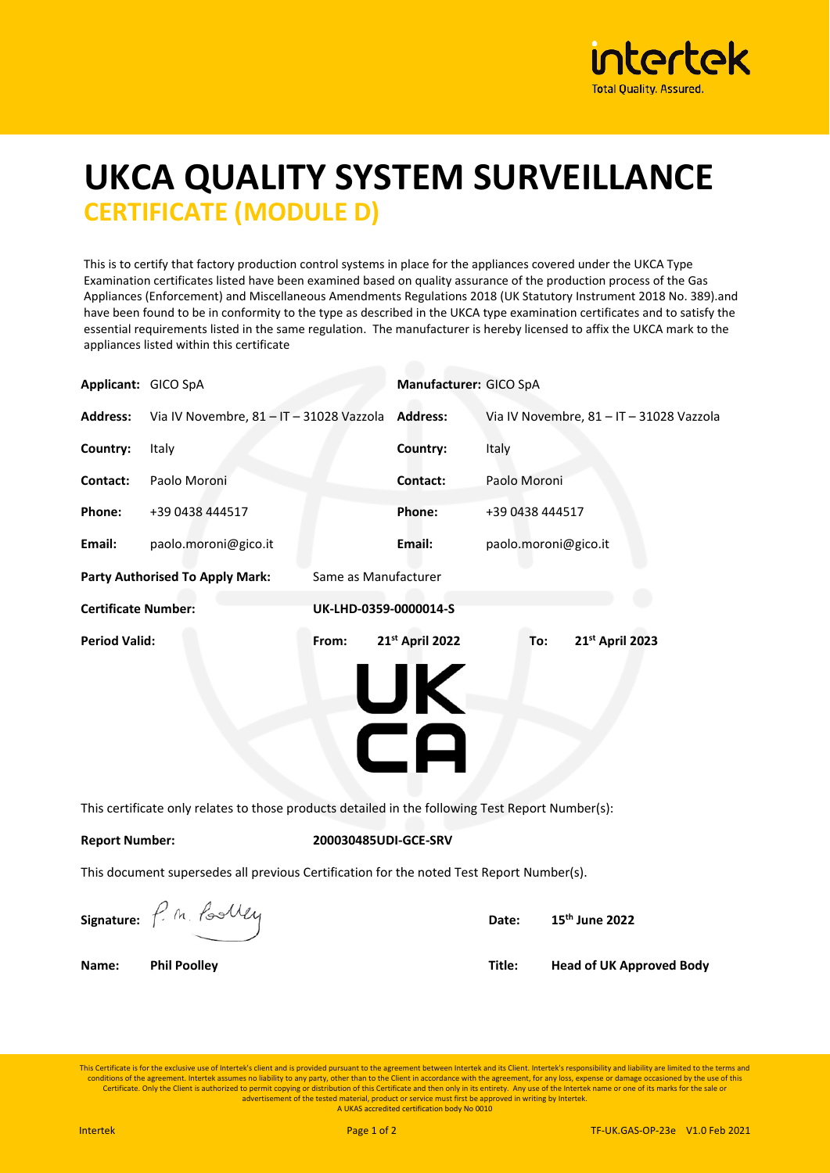

## **UKCA QUALITY SYSTEM SURVEILLANCE CERTIFICATE (MODULE D)**

This is to certify that factory production control systems in place for the appliances covered under the UKCA Type Examination certificates listed have been examined based on quality assurance of the production process of the Gas Appliances (Enforcement) and Miscellaneous Amendments Regulations 2018 (UK Statutory Instrument 2018 No. 389).and have been found to be in conformity to the type as described in the UKCA type examination certificates and to satisfy the essential requirements listed in the same regulation. The manufacturer is hereby licensed to affix the UKCA mark to the appliances listed within this certificate

| Applicant: GICO SpA                                                                              |                                          |       | Manufacturer: GICO SpA      |                                          |                                 |  |  |
|--------------------------------------------------------------------------------------------------|------------------------------------------|-------|-----------------------------|------------------------------------------|---------------------------------|--|--|
| <b>Address:</b>                                                                                  | Via IV Novembre, 81 - IT - 31028 Vazzola |       | <b>Address:</b>             | Via IV Novembre, 81 - IT - 31028 Vazzola |                                 |  |  |
| Country:                                                                                         | Italy                                    |       | Country:                    | Italy                                    |                                 |  |  |
| Contact:                                                                                         | Paolo Moroni                             |       | Contact:                    | Paolo Moroni                             |                                 |  |  |
| Phone:                                                                                           | +39 0438 444517                          |       | Phone:                      | +39 0438 444517                          |                                 |  |  |
| Email:                                                                                           | paolo.moroni@gico.it                     |       | Email:                      | paolo.moroni@gico.it                     |                                 |  |  |
| <b>Party Authorised To Apply Mark:</b><br>Same as Manufacturer                                   |                                          |       |                             |                                          |                                 |  |  |
| <b>Certificate Number:</b><br>UK-LHD-0359-0000014-S                                              |                                          |       |                             |                                          |                                 |  |  |
| <b>Period Valid:</b>                                                                             |                                          | From: | 21st April 2022<br>UK<br>CA | To:                                      | 21st April 2023                 |  |  |
| This certificate only relates to those products detailed in the following Test Report Number(s): |                                          |       |                             |                                          |                                 |  |  |
| <b>Report Number:</b><br>200030485UDI-GCE-SRV                                                    |                                          |       |                             |                                          |                                 |  |  |
| This document supersedes all previous Certification for the noted Test Report Number(s).         |                                          |       |                             |                                          |                                 |  |  |
|                                                                                                  | signature: P. M. Poolly                  |       |                             | Date:                                    | 15 <sup>th</sup> June 2022      |  |  |
| Name:                                                                                            | <b>Phil Poolley</b>                      |       |                             | Title:                                   | <b>Head of UK Approved Body</b> |  |  |

This Certificate is for the exclusive use of Intertek's client and is provided pursuant to the agreement between Intertek and its Client. Intertek's responsibility and liability are limited to the terms and conditions of the agreement. Intertek assumes no liability to any party, other than to the Client in accordance with the agreement, for any loss, expense or damage occasioned by the use of this Certificate. Only the Client is authorized to permit copying or distribution of this Certificate and then only in its entirety. Any use of the Intertek name or one of its marks for the sale or<br>advertisement of the tested m A UKAS accredited certification body No 0010